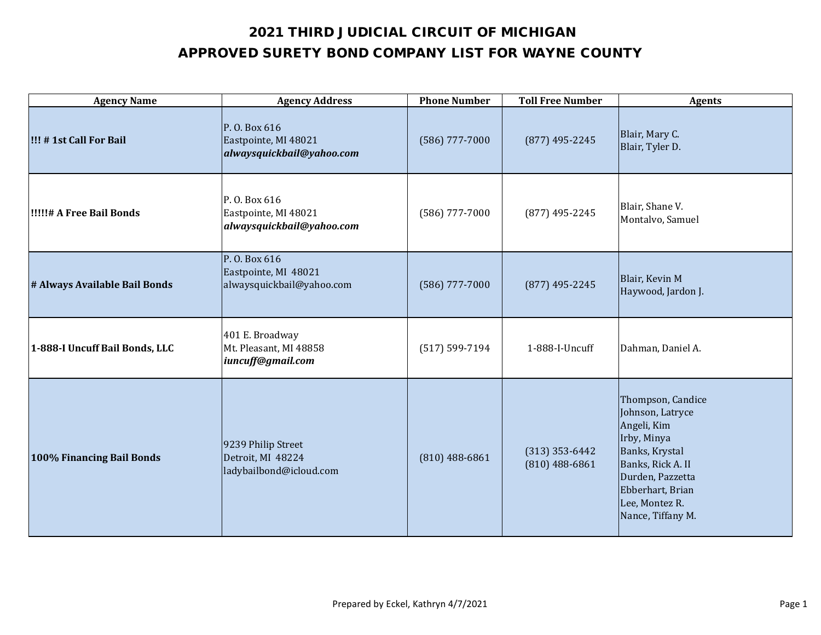| <b>Agency Name</b>               | <b>Agency Address</b>                                              | <b>Phone Number</b> | <b>Toll Free Number</b>              | <b>Agents</b>                                                                                                                                                                             |
|----------------------------------|--------------------------------------------------------------------|---------------------|--------------------------------------|-------------------------------------------------------------------------------------------------------------------------------------------------------------------------------------------|
| !!! # 1st Call For Bail          | P. O. Box 616<br>Eastpointe, MI 48021<br>alwaysquickbail@yahoo.com | $(586)$ 777-7000    | (877) 495-2245                       | Blair, Mary C.<br>Blair, Tyler D.                                                                                                                                                         |
| <b>I!!!!!# A Free Bail Bonds</b> | P.O. Box 616<br>Eastpointe, MI 48021<br>alwaysquickbail@yahoo.com  | $(586)$ 777-7000    | $(877)$ 495-2245                     | Blair, Shane V.<br>Montalvo, Samuel                                                                                                                                                       |
| # Always Available Bail Bonds    | P. O. Box 616<br>Eastpointe, MI 48021<br>alwaysquickbail@yahoo.com | $(586)$ 777-7000    | $(877)$ 495-2245                     | Blair, Kevin M<br>Haywood, Jardon J.                                                                                                                                                      |
| 1-888-I Uncuff Bail Bonds, LLC   | 401 E. Broadway<br>Mt. Pleasant, MI 48858<br>iuncuff@gmail.com     | $(517) 599 - 7194$  | 1-888-I-Uncuff                       | Dahman, Daniel A.                                                                                                                                                                         |
| 100% Financing Bail Bonds        | 9239 Philip Street<br>Detroit, MI 48224<br>ladybailbond@icloud.com | $(810)$ 488-6861    | $(313)$ 353-6442<br>$(810)$ 488-6861 | Thompson, Candice<br>Johnson, Latryce<br>Angeli, Kim<br>Irby, Minya<br>Banks, Krystal<br>Banks, Rick A. II<br>Durden, Pazzetta<br>Ebberhart, Brian<br>Lee, Montez R.<br>Nance, Tiffany M. |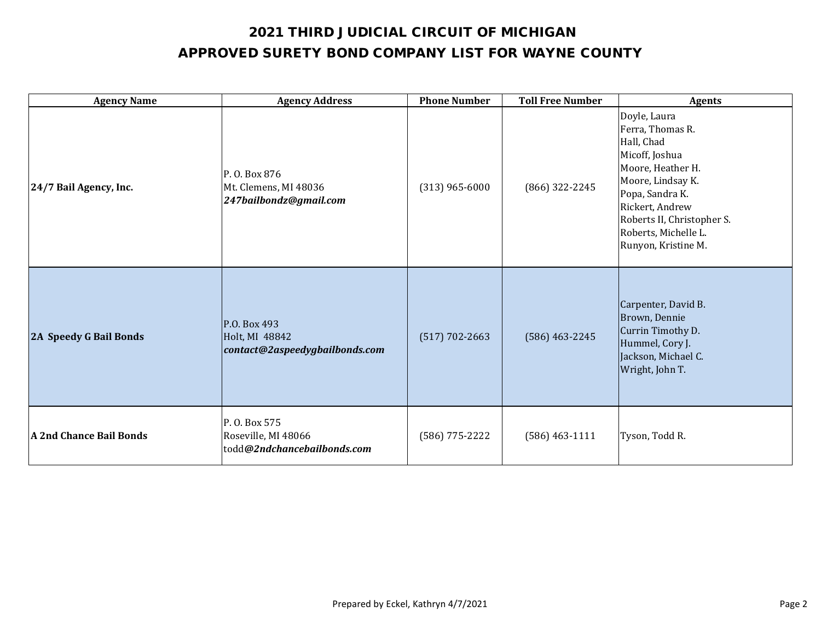| <b>Agency Name</b>      | <b>Agency Address</b>                                               | <b>Phone Number</b> | <b>Toll Free Number</b> | <b>Agents</b>                                                                                                                                                                                                                 |
|-------------------------|---------------------------------------------------------------------|---------------------|-------------------------|-------------------------------------------------------------------------------------------------------------------------------------------------------------------------------------------------------------------------------|
| 24/7 Bail Agency, Inc.  | P.O. Box 876<br>Mt. Clemens, MI 48036<br>247bailbondz@gmail.com     | $(313)$ 965-6000    | (866) 322-2245          | Doyle, Laura<br>Ferra, Thomas R.<br>Hall, Chad<br>Micoff, Joshua<br>Moore, Heather H.<br>Moore, Lindsay K.<br>Popa, Sandra K.<br>Rickert, Andrew<br>Roberts II, Christopher S.<br>Roberts, Michelle L.<br>Runyon, Kristine M. |
| 2A Speedy G Bail Bonds  | P.O. Box 493<br>Holt, MI 48842<br>contact@2aspeedygbailbonds.com    | $(517) 702 - 2663$  | $(586)$ 463-2245        | Carpenter, David B.<br>Brown, Dennie<br>Currin Timothy D.<br>Hummel, Cory J.<br>Jackson, Michael C.<br>Wright, John T.                                                                                                        |
| A 2nd Chance Bail Bonds | P. O. Box 575<br>Roseville, MI 48066<br>todd@2ndchancebailbonds.com | (586) 775-2222      | $(586)$ 463-1111        | Tyson, Todd R.                                                                                                                                                                                                                |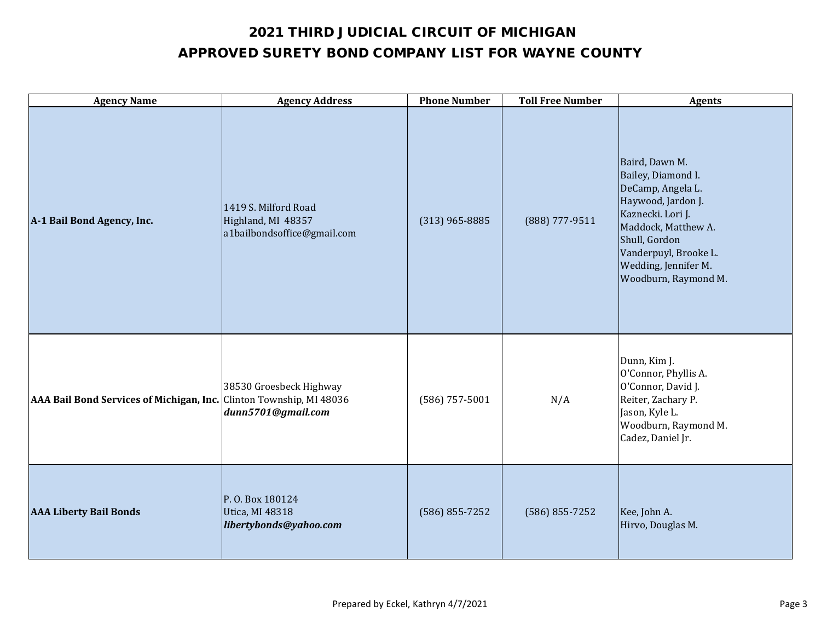| <b>Agency Name</b>                                                  | <b>Agency Address</b>                                                     | <b>Phone Number</b> | <b>Toll Free Number</b> | <b>Agents</b>                                                                                                                                                                                                         |
|---------------------------------------------------------------------|---------------------------------------------------------------------------|---------------------|-------------------------|-----------------------------------------------------------------------------------------------------------------------------------------------------------------------------------------------------------------------|
| A-1 Bail Bond Agency, Inc.                                          | 1419 S. Milford Road<br>Highland, MI 48357<br>a1bailbondsoffice@gmail.com | $(313)$ 965-8885    | (888) 777-9511          | Baird, Dawn M.<br>Bailey, Diamond I.<br>DeCamp, Angela L.<br>Haywood, Jardon J.<br>Kaznecki. Lori J.<br>Maddock, Matthew A.<br>Shull, Gordon<br>Vanderpuyl, Brooke L.<br>Wedding, Jennifer M.<br>Woodburn, Raymond M. |
| AAA Bail Bond Services of Michigan, Inc. Clinton Township, MI 48036 | 38530 Groesbeck Highway<br>dunn5701@gmail.com                             | $(586)$ 757-5001    | N/A                     | Dunn, Kim J.<br>O'Connor, Phyllis A.<br>O'Connor, David J.<br>Reiter, Zachary P.<br>Jason, Kyle L.<br>Woodburn, Raymond M.<br>Cadez, Daniel Jr.                                                                       |
| <b>AAA Liberty Bail Bonds</b>                                       | P.O. Box 180124<br>Utica, MI 48318<br>libertybonds@yahoo.com              | $(586) 855 - 7252$  | $(586) 855 - 7252$      | Kee, John A.<br>Hirvo, Douglas M.                                                                                                                                                                                     |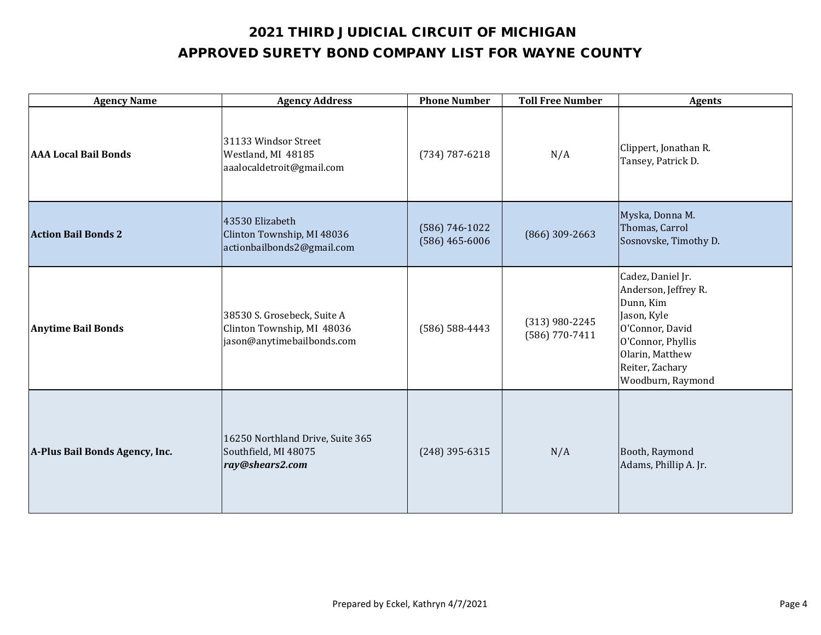| <b>Agency Name</b>             | <b>Agency Address</b>                                                                   | <b>Phone Number</b>                | <b>Toll Free Number</b>              | <b>Agents</b>                                                                                                                                                            |
|--------------------------------|-----------------------------------------------------------------------------------------|------------------------------------|--------------------------------------|--------------------------------------------------------------------------------------------------------------------------------------------------------------------------|
| <b>AAA Local Bail Bonds</b>    | 31133 Windsor Street<br>Westland, MI 48185<br>aaalocaldetroit@gmail.com                 | $(734) 787 - 6218$                 | N/A                                  | Clippert, Jonathan R.<br>Tansey, Patrick D.                                                                                                                              |
| <b>Action Bail Bonds 2</b>     | 43530 Elizabeth<br>Clinton Township, MI 48036<br>actionbailbonds2@gmail.com             | (586) 746-1022<br>$(586)$ 465-6006 | $(866)$ 309-2663                     | Myska, Donna M.<br>Thomas, Carrol<br>Sosnovske, Timothy D.                                                                                                               |
| <b>Anytime Bail Bonds</b>      | 38530 S. Grosebeck, Suite A<br>Clinton Township, MI 48036<br>jason@anytimebailbonds.com | $(586) 588 - 4443$                 | $(313)$ 980-2245<br>$(586)$ 770-7411 | Cadez, Daniel Jr.<br>Anderson, Jeffrey R.<br>Dunn, Kim<br>Jason, Kyle<br>O'Connor, David<br>O'Connor, Phyllis<br>Olarin, Matthew<br>Reiter, Zachary<br>Woodburn, Raymond |
| A-Plus Bail Bonds Agency, Inc. | 16250 Northland Drive, Suite 365<br>Southfield, MI 48075<br>ray@shears2.com             | $(248)$ 395-6315                   | N/A                                  | Booth, Raymond<br>Adams, Phillip A. Jr.                                                                                                                                  |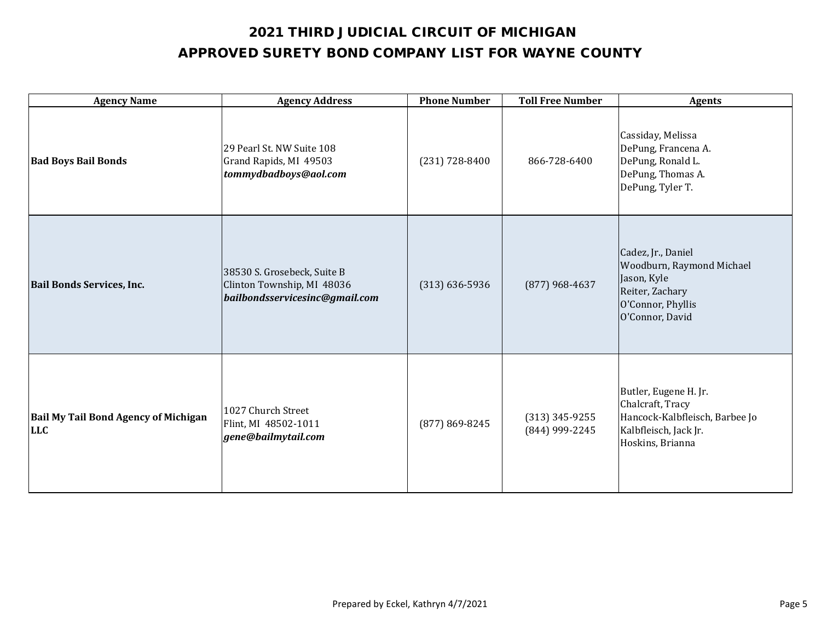| <b>Agency Name</b>                                        | <b>Agency Address</b>                                                                       | <b>Phone Number</b> | <b>Toll Free Number</b>            | <b>Agents</b>                                                                                                             |
|-----------------------------------------------------------|---------------------------------------------------------------------------------------------|---------------------|------------------------------------|---------------------------------------------------------------------------------------------------------------------------|
| <b>Bad Boys Bail Bonds</b>                                | 29 Pearl St. NW Suite 108<br>Grand Rapids, MI 49503<br>tommydbadboys@aol.com                | $(231) 728 - 8400$  | 866-728-6400                       | Cassiday, Melissa<br>DePung, Francena A.<br>DePung, Ronald L.<br>DePung, Thomas A.<br>DePung, Tyler T.                    |
| <b>Bail Bonds Services, Inc.</b>                          | 38530 S. Grosebeck, Suite B<br>Clinton Township, MI 48036<br>bailbondsservicesinc@gmail.com | $(313) 636 - 5936$  | $(877)$ 968-4637                   | Cadez, Jr., Daniel<br>Woodburn, Raymond Michael<br>Jason, Kyle<br>Reiter, Zachary<br>O'Connor, Phyllis<br>O'Connor, David |
| <b>Bail My Tail Bond Agency of Michigan</b><br><b>LLC</b> | 1027 Church Street<br>Flint, MI 48502-1011<br>gene@bailmytail.com                           | (877) 869-8245      | $(313)$ 345-9255<br>(844) 999-2245 | Butler, Eugene H. Jr.<br>Chalcraft, Tracy<br>Hancock-Kalbfleisch, Barbee Jo<br>Kalbfleisch, Jack Jr.<br>Hoskins, Brianna  |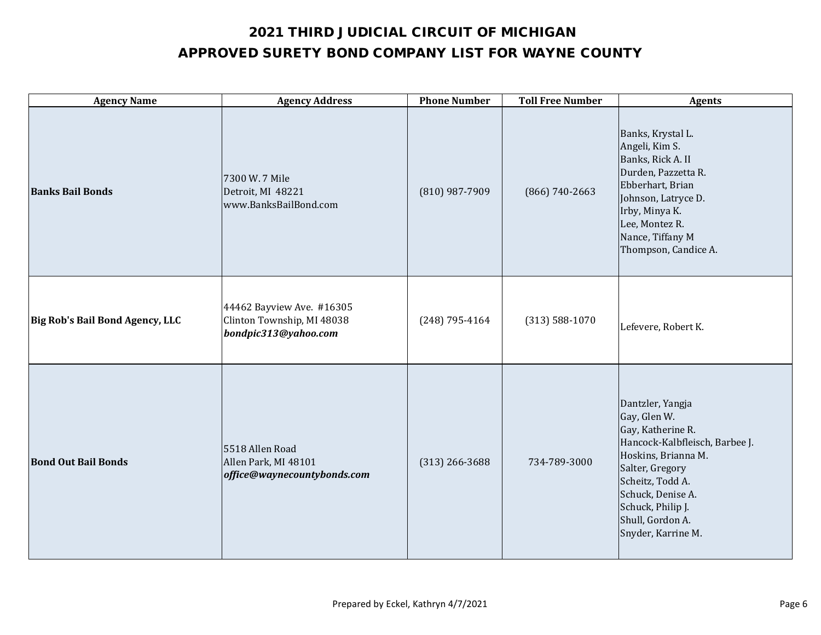| <b>Agency Name</b>              | <b>Agency Address</b>                                                           | <b>Phone Number</b> | <b>Toll Free Number</b> | <b>Agents</b>                                                                                                                                                                                                                             |
|---------------------------------|---------------------------------------------------------------------------------|---------------------|-------------------------|-------------------------------------------------------------------------------------------------------------------------------------------------------------------------------------------------------------------------------------------|
| <b>Banks Bail Bonds</b>         | 7300 W. 7 Mile<br>Detroit, MI 48221<br>www.BanksBailBond.com                    | (810) 987-7909      | $(866) 740 - 2663$      | Banks, Krystal L.<br>Angeli, Kim S.<br>Banks, Rick A. II<br>Durden, Pazzetta R.<br>Ebberhart, Brian<br>Johnson, Latryce D.<br>Irby, Minya K.<br>Lee, Montez R.<br>Nance, Tiffany M<br>Thompson, Candice A.                                |
| Big Rob's Bail Bond Agency, LLC | 44462 Bayview Ave. #16305<br>Clinton Township, MI 48038<br>bondpic313@yahoo.com | $(248)$ 795-4164    | $(313) 588 - 1070$      | Lefevere, Robert K.                                                                                                                                                                                                                       |
| <b>Bond Out Bail Bonds</b>      | 5518 Allen Road<br>Allen Park, MI 48101<br>office@waynecountybonds.com          | $(313)$ 266-3688    | 734-789-3000            | Dantzler, Yangja<br>Gay, Glen W.<br>Gay, Katherine R.<br>Hancock-Kalbfleisch, Barbee J.<br>Hoskins, Brianna M.<br>Salter, Gregory<br>Scheitz, Todd A.<br>Schuck, Denise A.<br>Schuck, Philip J.<br>Shull, Gordon A.<br>Snyder, Karrine M. |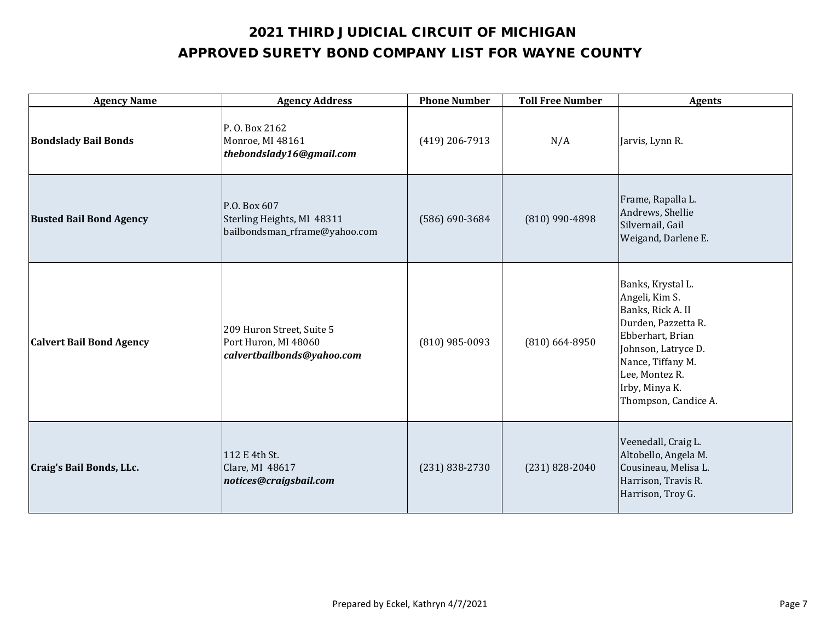| <b>Agency Name</b>              | <b>Agency Address</b>                                                           | <b>Phone Number</b> | <b>Toll Free Number</b> | <b>Agents</b>                                                                                                                                                                                               |
|---------------------------------|---------------------------------------------------------------------------------|---------------------|-------------------------|-------------------------------------------------------------------------------------------------------------------------------------------------------------------------------------------------------------|
| <b>Bondslady Bail Bonds</b>     | P. O. Box 2162<br>Monroe, MI 48161<br>thebondslady16@gmail.com                  | $(419)$ 206-7913    | N/A                     | Jarvis, Lynn R.                                                                                                                                                                                             |
| <b>Busted Bail Bond Agency</b>  | P.O. Box 607<br>Sterling Heights, MI 48311<br>bailbondsman_rframe@yahoo.com     | $(586) 690 - 3684$  | (810) 990-4898          | Frame, Rapalla L.<br>Andrews, Shellie<br>Silvernail, Gail<br>Weigand, Darlene E.                                                                                                                            |
| <b>Calvert Bail Bond Agency</b> | 209 Huron Street, Suite 5<br>Port Huron, MI 48060<br>calvertbailbonds@yahoo.com | $(810)$ 985-0093    | $(810) 664 - 8950$      | Banks, Krystal L.<br>Angeli, Kim S.<br>Banks, Rick A. II<br>Durden, Pazzetta R.<br>Ebberhart, Brian<br>Johnson, Latryce D.<br>Nance, Tiffany M.<br>Lee, Montez R.<br>Irby, Minya K.<br>Thompson, Candice A. |
| Craig's Bail Bonds, LLc.        | 112 E 4th St.<br>Clare, MI 48617<br>notices@craigsbail.com                      | $(231) 838 - 2730$  | $(231) 828 - 2040$      | Veenedall, Craig L.<br>Altobello, Angela M.<br>Cousineau, Melisa L.<br>Harrison, Travis R.<br>Harrison, Troy G.                                                                                             |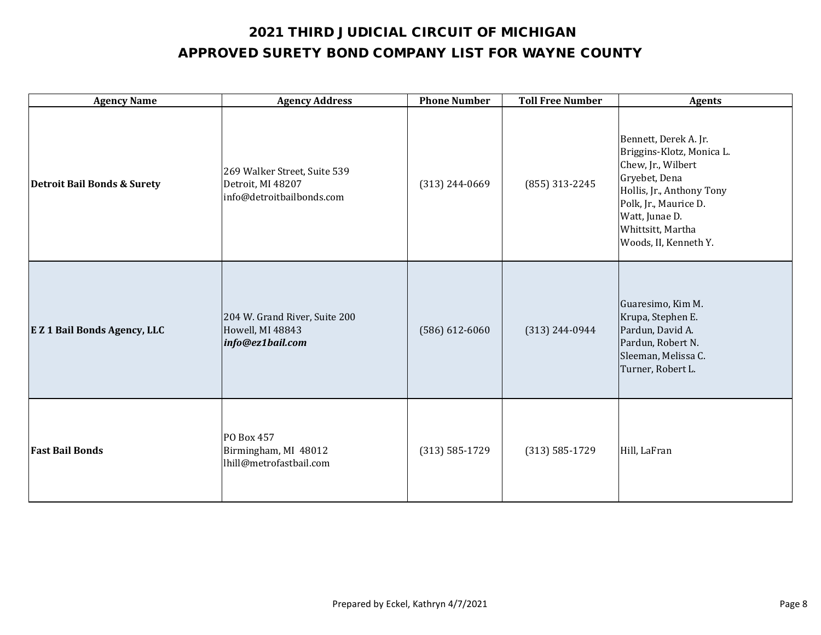| <b>Agency Name</b>                     | <b>Agency Address</b>                                                          | <b>Phone Number</b> | <b>Toll Free Number</b> | <b>Agents</b>                                                                                                                                                                                                   |
|----------------------------------------|--------------------------------------------------------------------------------|---------------------|-------------------------|-----------------------------------------------------------------------------------------------------------------------------------------------------------------------------------------------------------------|
| <b>Detroit Bail Bonds &amp; Surety</b> | 269 Walker Street, Suite 539<br>Detroit, MI 48207<br>info@detroitbailbonds.com | $(313)$ 244-0669    | (855) 313-2245          | Bennett, Derek A. Jr.<br>Briggins-Klotz, Monica L.<br>Chew, Jr., Wilbert<br>Gryebet, Dena<br>Hollis, Jr., Anthony Tony<br>Polk, Jr., Maurice D.<br>Watt, Junae D.<br>Whittsitt, Martha<br>Woods, II, Kenneth Y. |
| <b>EZ 1 Bail Bonds Agency, LLC</b>     | 204 W. Grand River, Suite 200<br>Howell, MI 48843<br>info@ez1bail.com          | $(586) 612 - 6060$  | $(313) 244 - 0944$      | Guaresimo, Kim M.<br>Krupa, Stephen E.<br>Pardun, David A.<br>Pardun, Robert N.<br>Sleeman, Melissa C.<br>Turner, Robert L.                                                                                     |
| <b>Fast Bail Bonds</b>                 | PO Box 457<br>Birmingham, MI 48012<br>lhill@metrofastbail.com                  | $(313) 585 - 1729$  | $(313) 585 - 1729$      | Hill, LaFran                                                                                                                                                                                                    |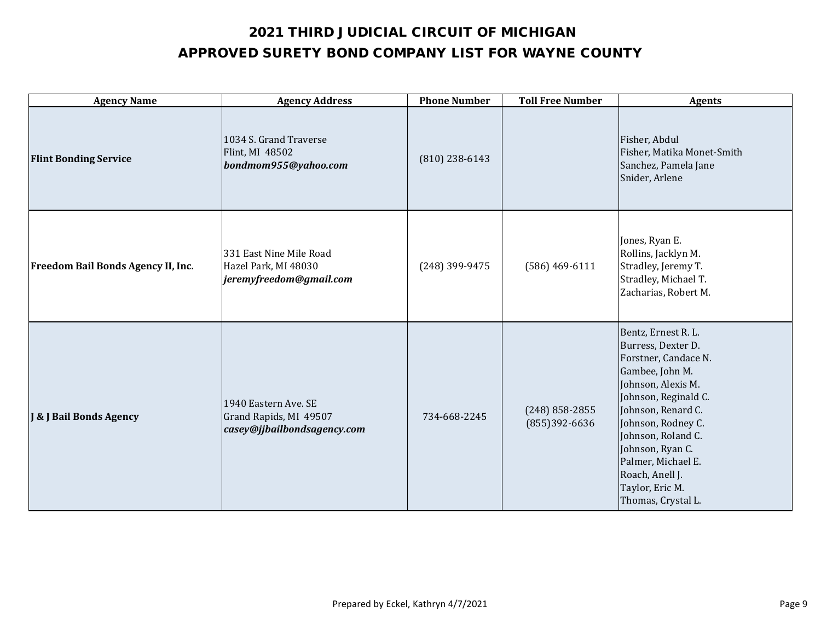| <b>Agency Name</b>                        | <b>Agency Address</b>                                                         | <b>Phone Number</b> | <b>Toll Free Number</b>           | <b>Agents</b>                                                                                                                                                                                                                                                                                              |
|-------------------------------------------|-------------------------------------------------------------------------------|---------------------|-----------------------------------|------------------------------------------------------------------------------------------------------------------------------------------------------------------------------------------------------------------------------------------------------------------------------------------------------------|
| <b>Flint Bonding Service</b>              | 1034 S. Grand Traverse<br>Flint, MI 48502<br>bondmom955@yahoo.com             | $(810)$ 238-6143    |                                   | Fisher, Abdul<br>Fisher, Matika Monet-Smith<br>Sanchez, Pamela Jane<br>Snider, Arlene                                                                                                                                                                                                                      |
| <b>Freedom Bail Bonds Agency II, Inc.</b> | 331 East Nine Mile Road<br>Hazel Park, MI 48030<br>jeremyfreedom@gmail.com    | (248) 399-9475      | $(586)$ 469-6111                  | Jones, Ryan E.<br>Rollins, Jacklyn M.<br>Stradley, Jeremy T.<br>Stradley, Michael T.<br>Zacharias, Robert M.                                                                                                                                                                                               |
| <b>J &amp; J Bail Bonds Agency</b>        | 1940 Eastern Ave. SE<br>Grand Rapids, MI 49507<br>casey@jjbailbondsagency.com | 734-668-2245        | $(248)$ 858-2855<br>(855)392-6636 | Bentz, Ernest R. L.<br>Burress, Dexter D.<br>Forstner, Candace N.<br>Gambee, John M.<br>Johnson, Alexis M.<br>Johnson, Reginald C.<br>Johnson, Renard C.<br>Johnson, Rodney C.<br>Johnson, Roland C.<br>Johnson, Ryan C.<br>Palmer, Michael E.<br>Roach, Anell J.<br>Taylor, Eric M.<br>Thomas, Crystal L. |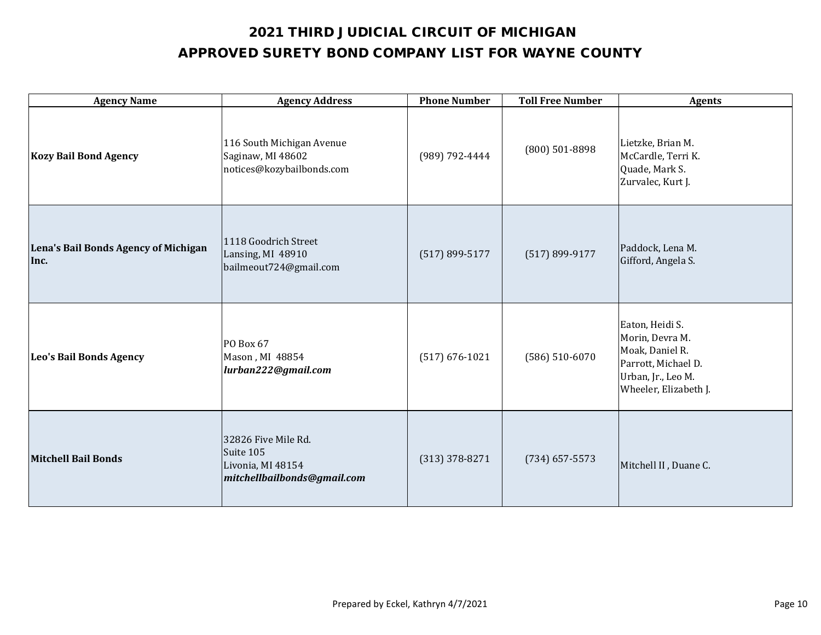| <b>Agency Name</b>                           | <b>Agency Address</b>                                                                | <b>Phone Number</b> | <b>Toll Free Number</b> | <b>Agents</b>                                                                                                               |
|----------------------------------------------|--------------------------------------------------------------------------------------|---------------------|-------------------------|-----------------------------------------------------------------------------------------------------------------------------|
| <b>Kozy Bail Bond Agency</b>                 | 116 South Michigan Avenue<br>Saginaw, MI 48602<br>notices@kozybailbonds.com          | (989) 792-4444      | (800) 501-8898          | Lietzke, Brian M.<br>McCardle, Terri K.<br>Quade, Mark S.<br>Zurvalec, Kurt J.                                              |
| Lena's Bail Bonds Agency of Michigan<br>Inc. | 1118 Goodrich Street<br>Lansing, MI 48910<br>bailmeout724@gmail.com                  | $(517) 899 - 5177$  | $(517) 899 - 9177$      | Paddock, Lena M.<br>Gifford, Angela S.                                                                                      |
| Leo's Bail Bonds Agency                      | PO Box 67<br>Mason, MI 48854<br>lurban222@gmail.com                                  | $(517) 676 - 1021$  | $(586) 510 - 6070$      | Eaton, Heidi S.<br>Morin, Devra M.<br>Moak, Daniel R.<br>Parrott, Michael D.<br>Urban, Jr., Leo M.<br>Wheeler, Elizabeth J. |
| <b>Mitchell Bail Bonds</b>                   | 32826 Five Mile Rd.<br>Suite 105<br>Livonia, MI 48154<br>mitchellbailbonds@gmail.com | $(313)$ 378-8271    | $(734)$ 657-5573        | Mitchell II, Duane C.                                                                                                       |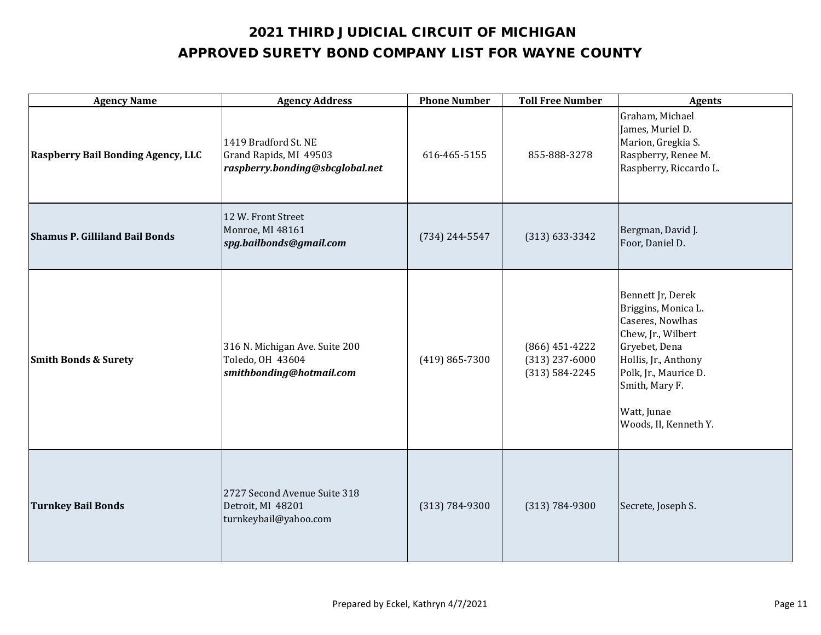| <b>Agency Name</b>                        | <b>Agency Address</b>                                                             | <b>Phone Number</b> | <b>Toll Free Number</b>                                    | <b>Agents</b>                                                                                                                                                                                                  |
|-------------------------------------------|-----------------------------------------------------------------------------------|---------------------|------------------------------------------------------------|----------------------------------------------------------------------------------------------------------------------------------------------------------------------------------------------------------------|
| <b>Raspberry Bail Bonding Agency, LLC</b> | 1419 Bradford St. NE<br>Grand Rapids, MI 49503<br>raspberry.bonding@sbcglobal.net | 616-465-5155        | 855-888-3278                                               | Graham, Michael<br>James, Muriel D.<br>Marion, Gregkia S.<br>Raspberry, Renee M.<br>Raspberry, Riccardo L.                                                                                                     |
| <b>Shamus P. Gilliland Bail Bonds</b>     | 12 W. Front Street<br>Monroe, MI 48161<br>spg.bailbonds@gmail.com                 | $(734) 244 - 5547$  | $(313) 633 - 3342$                                         | Bergman, David J.<br>Foor, Daniel D.                                                                                                                                                                           |
| <b>Smith Bonds &amp; Surety</b>           | 316 N. Michigan Ave. Suite 200<br>Toledo, OH 43604<br>smithbonding@hotmail.com    | $(419) 865 - 7300$  | $(866)$ 451-4222<br>$(313)$ 237-6000<br>$(313) 584 - 2245$ | Bennett Jr, Derek<br>Briggins, Monica L.<br>Caseres, Nowlhas<br>Chew, Jr., Wilbert<br>Gryebet, Dena<br>Hollis, Jr., Anthony<br>Polk, Jr., Maurice D.<br>Smith, Mary F.<br>Watt, Junae<br>Woods, II, Kenneth Y. |
| <b>Turnkey Bail Bonds</b>                 | 2727 Second Avenue Suite 318<br>Detroit, MI 48201<br>turnkeybail@yahoo.com        | $(313) 784 - 9300$  | $(313) 784 - 9300$                                         | Secrete, Joseph S.                                                                                                                                                                                             |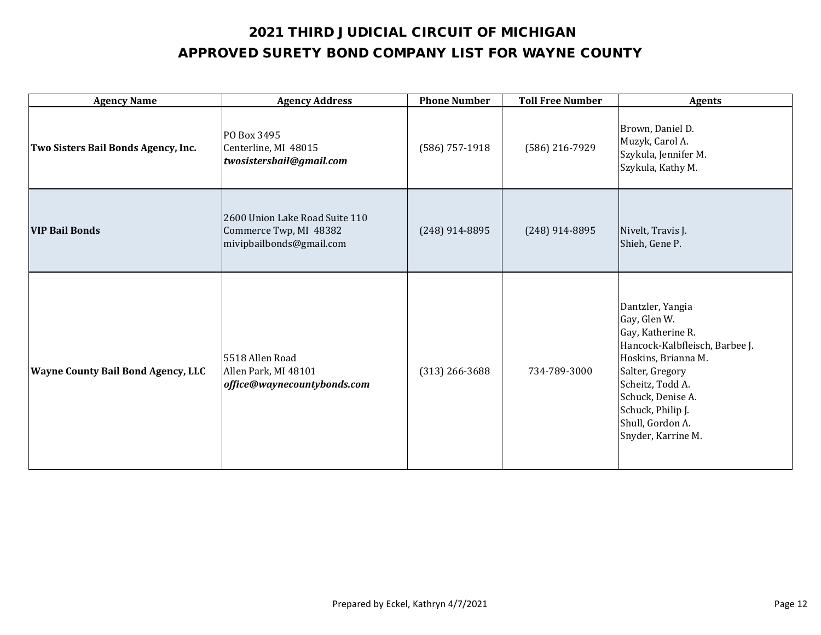| <b>Agency Name</b>                        | <b>Agency Address</b>                                                                | <b>Phone Number</b> | <b>Toll Free Number</b> | <b>Agents</b>                                                                                                                                                                                                                             |
|-------------------------------------------|--------------------------------------------------------------------------------------|---------------------|-------------------------|-------------------------------------------------------------------------------------------------------------------------------------------------------------------------------------------------------------------------------------------|
| Two Sisters Bail Bonds Agency, Inc.       | PO Box 3495<br>Centerline, MI 48015<br>twosistersbail@gmail.com                      | $(586)$ 757-1918    | (586) 216-7929          | Brown, Daniel D.<br>Muzyk, Carol A.<br>Szykula, Jennifer M.<br>Szykula, Kathy M.                                                                                                                                                          |
| <b>VIP Bail Bonds</b>                     | 2600 Union Lake Road Suite 110<br>Commerce Twp, MI 48382<br>mivipbailbonds@gmail.com | $(248)$ 914-8895    | $(248)$ 914-8895        | Nivelt, Travis J.<br>Shieh, Gene P.                                                                                                                                                                                                       |
| <b>Wayne County Bail Bond Agency, LLC</b> | 5518 Allen Road<br>Allen Park, MI 48101<br>office@waynecountybonds.com               | $(313)$ 266-3688    | 734-789-3000            | Dantzler, Yangia<br>Gay, Glen W.<br>Gay, Katherine R.<br>Hancock-Kalbfleisch, Barbee J.<br>Hoskins, Brianna M.<br>Salter, Gregory<br>Scheitz, Todd A.<br>Schuck, Denise A.<br>Schuck, Philip J.<br>Shull, Gordon A.<br>Snyder, Karrine M. |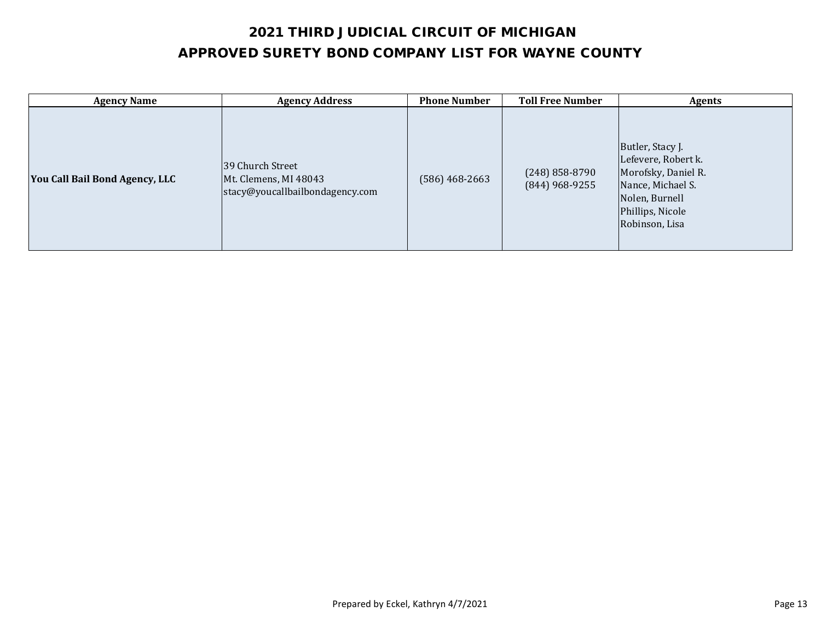| <b>Agency Name</b>             | <b>Agency Address</b>                                                        | <b>Phone Number</b> | <b>Toll Free Number</b>              | <b>Agents</b>                                                                                                                               |
|--------------------------------|------------------------------------------------------------------------------|---------------------|--------------------------------------|---------------------------------------------------------------------------------------------------------------------------------------------|
| You Call Bail Bond Agency, LLC | 39 Church Street<br>Mt. Clemens, MI 48043<br>stacy@youcallbailbondagency.com | (586) 468-2663      | $(248)$ 858-8790<br>$(844)$ 968-9255 | Butler, Stacy J.<br>Lefevere, Robert k.<br>Morofsky, Daniel R.<br>Nance, Michael S.<br>Nolen, Burnell<br>Phillips, Nicole<br>Robinson, Lisa |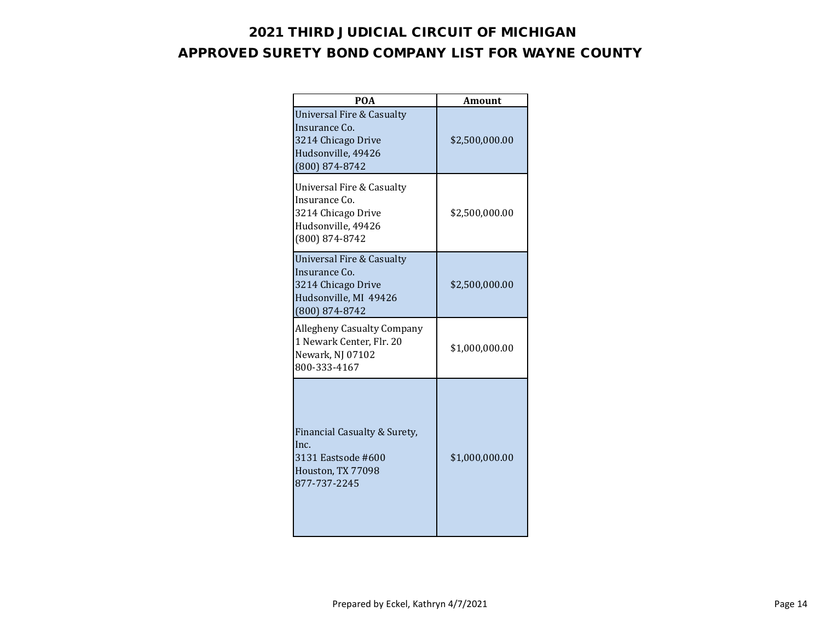| <b>POA</b>                                                                                                             | Amount         |
|------------------------------------------------------------------------------------------------------------------------|----------------|
| Universal Fire & Casualty<br>Insurance Co.<br>3214 Chicago Drive<br>Hudsonville, 49426<br>$(800) 874 - 8742$           | \$2,500,000.00 |
| Universal Fire & Casualty<br>Insurance Co.<br>3214 Chicago Drive<br>Hudsonville, 49426<br>(800) 874-8742               | \$2,500,000.00 |
| <b>Universal Fire &amp; Casualty</b><br>Insurance Co.<br>3214 Chicago Drive<br>Hudsonville, MI 49426<br>(800) 874-8742 | \$2,500,000.00 |
| <b>Allegheny Casualty Company</b><br>1 Newark Center, Flr. 20<br>Newark, NJ 07102<br>800-333-4167                      | \$1,000,000.00 |
| Financial Casualty & Surety,<br>Inc.<br>3131 Eastsode #600<br>Houston, TX 77098<br>877-737-2245                        | \$1,000,000.00 |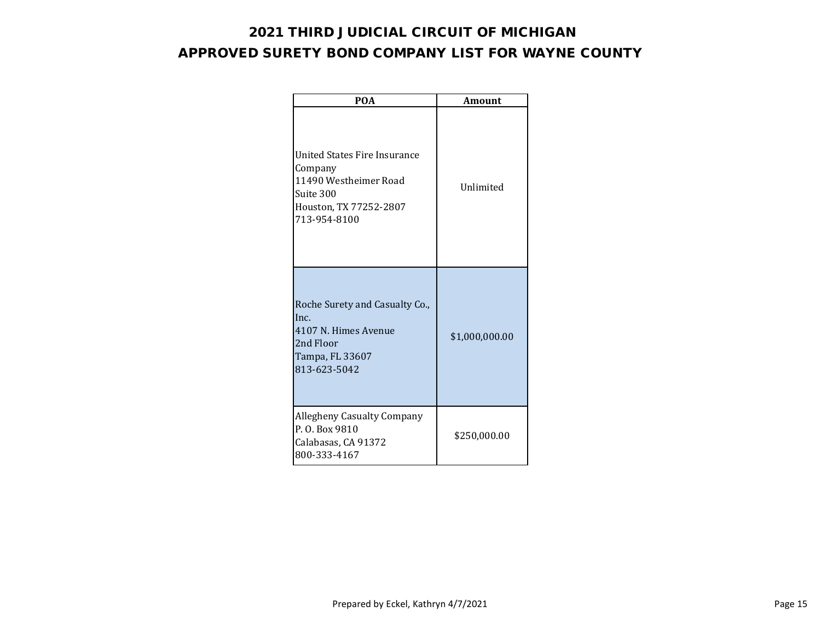| <b>POA</b>                                                                                                              | <b>Amount</b>  |
|-------------------------------------------------------------------------------------------------------------------------|----------------|
| United States Fire Insurance<br>Company<br>11490 Westheimer Road<br>Suite 300<br>Houston, TX 77252-2807<br>713-954-8100 | Unlimited      |
| Roche Surety and Casualty Co.,<br>Inc.<br>4107 N. Himes Avenue<br>2nd Floor<br>Tampa, FL 33607<br>813-623-5042          | \$1,000,000.00 |
| <b>Allegheny Casualty Company</b><br>P.O. Box 9810<br>Calabasas, CA 91372<br>800-333-4167                               | \$250,000.00   |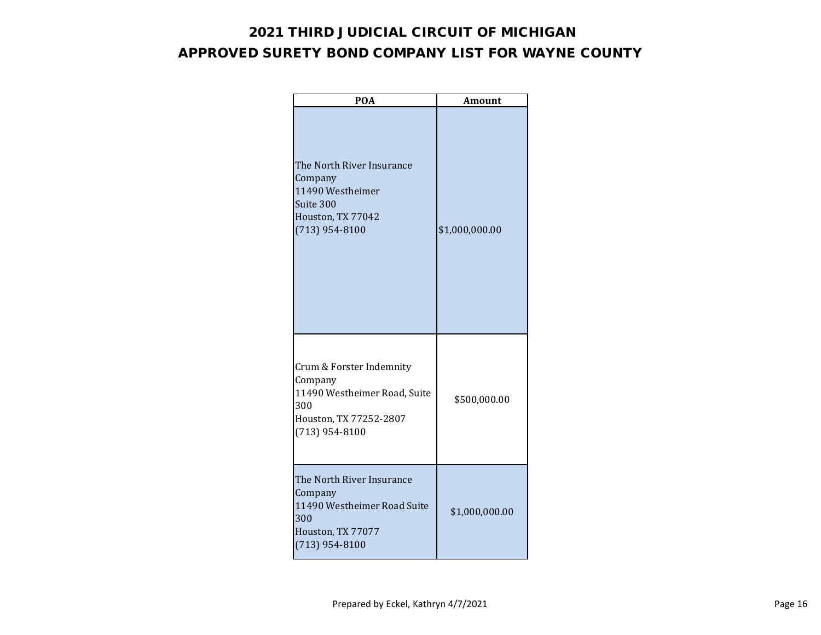| <b>POA</b>                                                                                                               | <b>Amount</b>  |
|--------------------------------------------------------------------------------------------------------------------------|----------------|
| The North River Insurance<br>Company<br>11490 Westheimer<br>Suite 300<br>Houston, TX 77042<br>$(713)$ 954-8100           | \$1,000,000.00 |
| Crum & Forster Indemnity<br>Company<br>11490 Westheimer Road, Suite<br>300<br>Houston, TX 77252-2807<br>$(713)$ 954-8100 | \$500,000.00   |
| The North River Insurance<br>Company<br>11490 Westheimer Road Suite<br>300<br>Houston, TX 77077<br>$(713)$ 954-8100      | \$1,000,000.00 |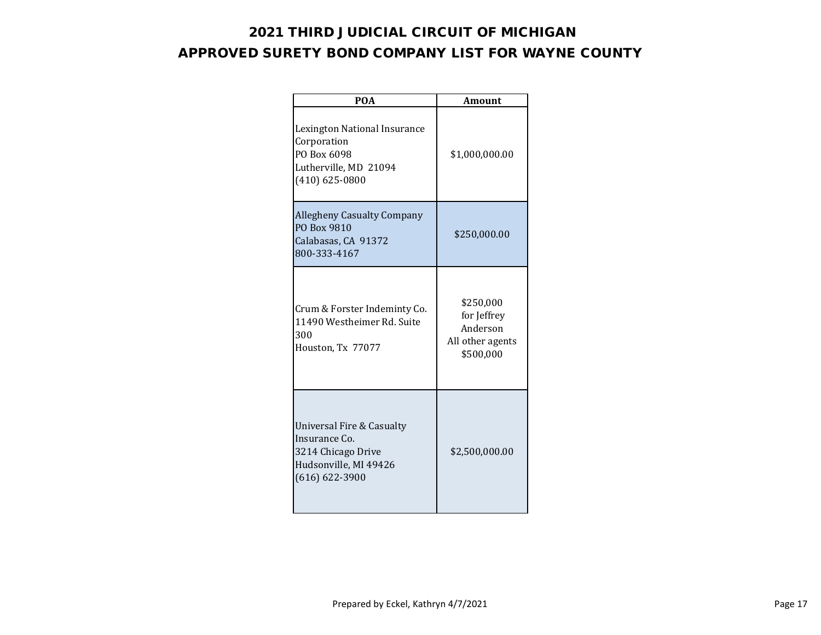| <b>POA</b>                                                                                                      | <b>Amount</b>                                                         |
|-----------------------------------------------------------------------------------------------------------------|-----------------------------------------------------------------------|
| Lexington National Insurance<br>Corporation<br>PO Box 6098<br>Lutherville, MD 21094<br>$(410) 625 - 0800$       | \$1,000,000.00                                                        |
| <b>Allegheny Casualty Company</b><br>PO Box 9810<br>Calabasas, CA 91372<br>800-333-4167                         | \$250,000.00                                                          |
| Crum & Forster Indeminty Co.<br>11490 Westheimer Rd. Suite<br>300<br>Houston, Tx 77077                          | \$250,000<br>for Jeffrey<br>Anderson<br>All other agents<br>\$500,000 |
| Universal Fire & Casualty<br>Insurance Co.<br>3214 Chicago Drive<br>Hudsonville, MI 49426<br>$(616) 622 - 3900$ | \$2,500,000.00                                                        |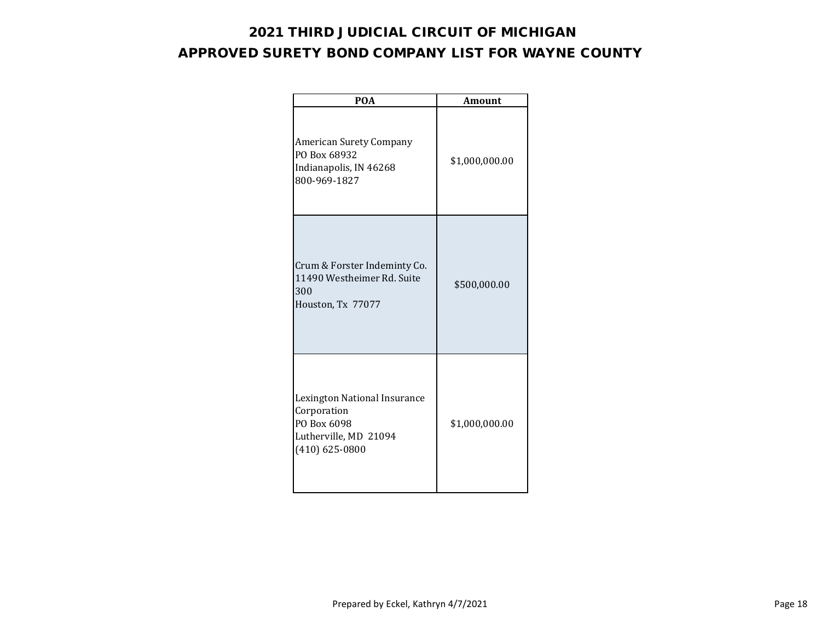| <b>POA</b>                                                                                                | <b>Amount</b>  |
|-----------------------------------------------------------------------------------------------------------|----------------|
| American Surety Company<br>PO Box 68932<br>Indianapolis, IN 46268<br>800-969-1827                         | \$1,000,000.00 |
| Crum & Forster Indeminty Co.<br>11490 Westheimer Rd. Suite<br>300<br>Houston, Tx 77077                    | \$500,000.00   |
| Lexington National Insurance<br>Corporation<br>PO Box 6098<br>Lutherville, MD 21094<br>$(410) 625 - 0800$ | \$1,000,000.00 |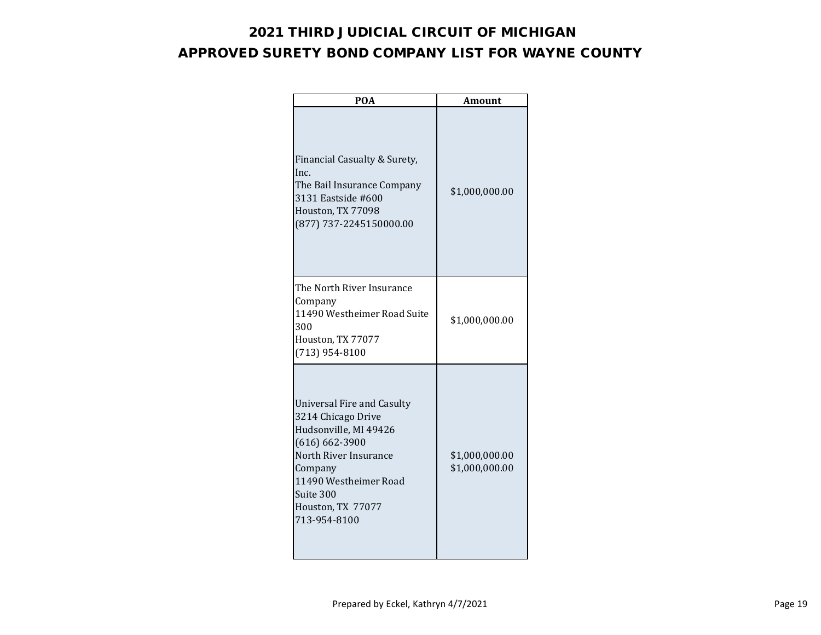| <b>POA</b>                                                                                                                                                                                                            | Amount                           |
|-----------------------------------------------------------------------------------------------------------------------------------------------------------------------------------------------------------------------|----------------------------------|
| Financial Casualty & Surety,<br>Inc.<br>The Bail Insurance Company<br>3131 Eastside #600<br>Houston, TX 77098<br>(877) 737-2245150000.00                                                                              | \$1,000,000.00                   |
| The North River Insurance<br>Company<br>11490 Westheimer Road Suite<br>300<br>Houston, TX 77077<br>$(713)$ 954-8100                                                                                                   | \$1,000,000.00                   |
| <b>Universal Fire and Casulty</b><br>3214 Chicago Drive<br>Hudsonville, MI 49426<br>$(616) 662 - 3900$<br>North River Insurance<br>Company<br>11490 Westheimer Road<br>Suite 300<br>Houston, TX 77077<br>713-954-8100 | \$1,000,000.00<br>\$1,000,000.00 |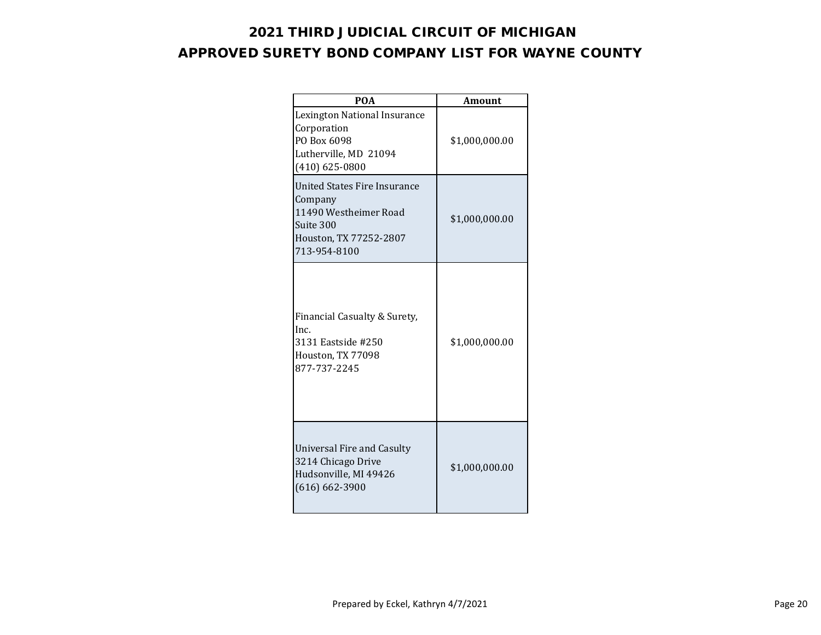| <b>POA</b>                                                                                                                     | Amount         |
|--------------------------------------------------------------------------------------------------------------------------------|----------------|
| Lexington National Insurance<br>Corporation<br>PO Box 6098<br>Lutherville, MD 21094<br>$(410) 625 - 0800$                      | \$1,000,000.00 |
| <b>United States Fire Insurance</b><br>Company<br>11490 Westheimer Road<br>Suite 300<br>Houston, TX 77252-2807<br>713-954-8100 | \$1,000,000.00 |
| Financial Casualty & Surety,<br>Inc.<br>3131 Eastside #250<br>Houston, TX 77098<br>877-737-2245                                | \$1,000,000.00 |
| <b>Universal Fire and Casulty</b><br>3214 Chicago Drive<br>Hudsonville, MI 49426<br>$(616) 662 - 3900$                         | \$1,000,000.00 |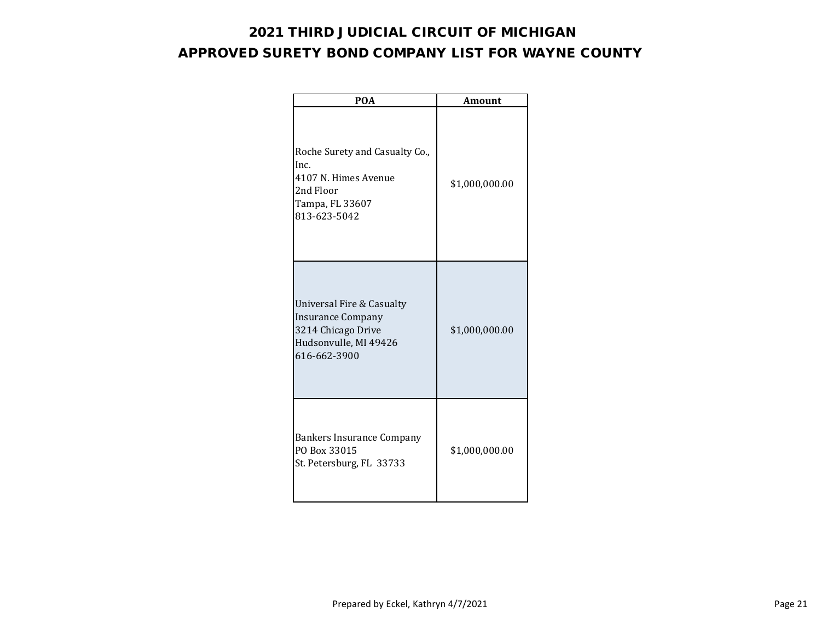| <b>POA</b>                                                                                                           | <b>Amount</b>  |
|----------------------------------------------------------------------------------------------------------------------|----------------|
| Roche Surety and Casualty Co.,<br>Inc.<br>4107 N. Himes Avenue<br>2nd Floor<br>Tampa, FL 33607<br>813-623-5042       | \$1,000,000.00 |
| Universal Fire & Casualty<br><b>Insurance Company</b><br>3214 Chicago Drive<br>Hudsonvulle, MI 49426<br>616-662-3900 | \$1,000,000.00 |
| <b>Bankers Insurance Company</b><br>PO Box 33015<br>St. Petersburg, FL 33733                                         | \$1,000,000.00 |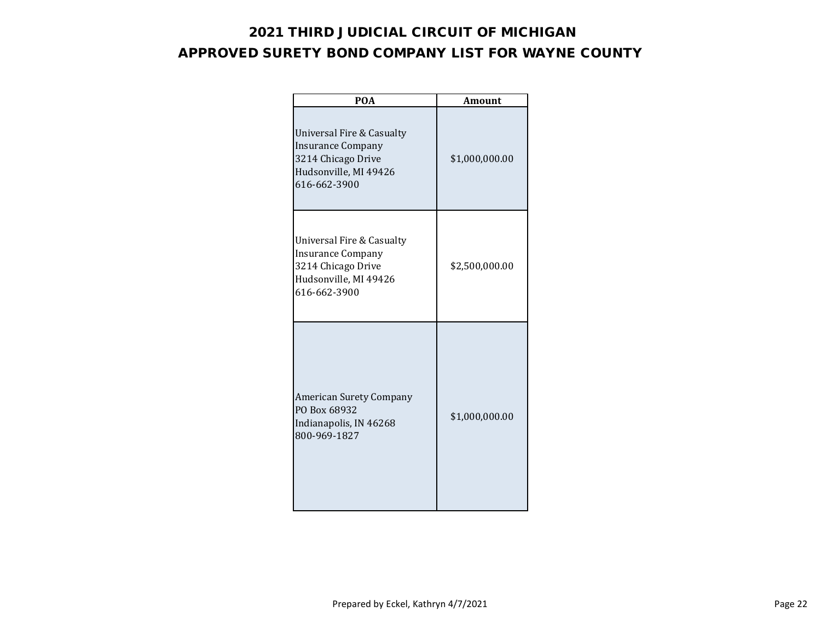| <b>POA</b>                                                                                                           | <b>Amount</b>  |
|----------------------------------------------------------------------------------------------------------------------|----------------|
| Universal Fire & Casualty<br>Insurance Company<br>3214 Chicago Drive<br>Hudsonville, MI 49426<br>616-662-3900        | \$1,000,000.00 |
| Universal Fire & Casualty<br><b>Insurance Company</b><br>3214 Chicago Drive<br>Hudsonville, MI 49426<br>616-662-3900 | \$2,500,000.00 |
| <b>American Surety Company</b><br>PO Box 68932<br>Indianapolis, IN 46268<br>800-969-1827                             | \$1,000,000.00 |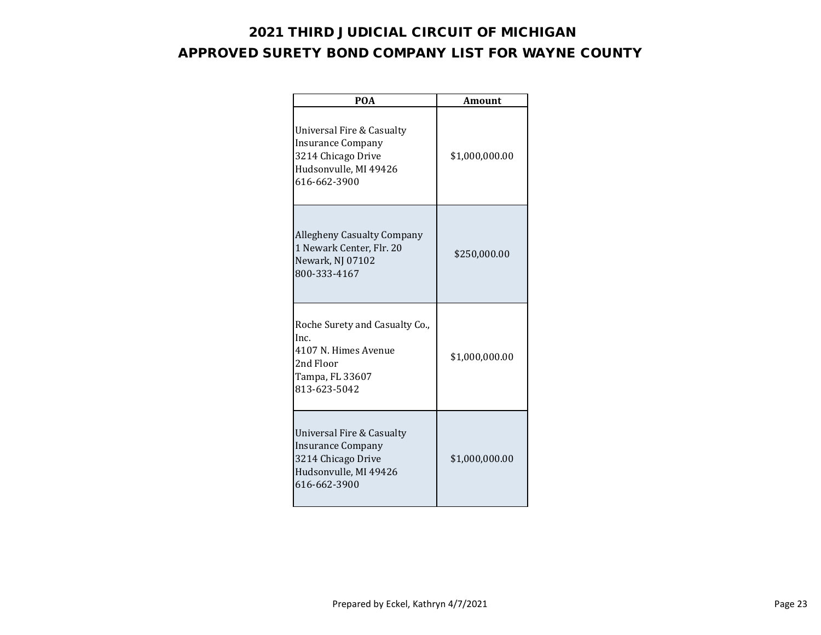| <b>POA</b>                                                                                                           | <b>Amount</b>  |
|----------------------------------------------------------------------------------------------------------------------|----------------|
| Universal Fire & Casualty<br><b>Insurance Company</b><br>3214 Chicago Drive<br>Hudsonvulle, MI 49426<br>616-662-3900 | \$1,000,000.00 |
| <b>Allegheny Casualty Company</b><br>1 Newark Center, Flr. 20<br>Newark, NJ 07102<br>800-333-4167                    | \$250,000.00   |
| Roche Surety and Casualty Co.,<br>Inc.<br>4107 N. Himes Avenue<br>2nd Floor<br>Tampa, FL 33607<br>813-623-5042       | \$1,000,000.00 |
| Universal Fire & Casualty<br>Insurance Company<br>3214 Chicago Drive<br>Hudsonvulle, MI 49426<br>616-662-3900        | \$1,000,000.00 |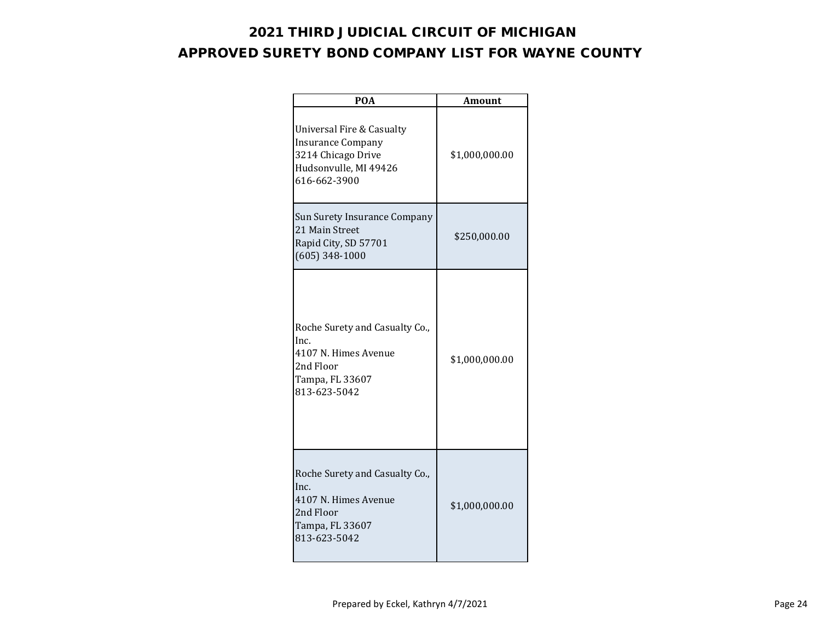| <b>POA</b>                                                                                                           | <b>Amount</b>  |
|----------------------------------------------------------------------------------------------------------------------|----------------|
| Universal Fire & Casualty<br><b>Insurance Company</b><br>3214 Chicago Drive<br>Hudsonvulle, MI 49426<br>616-662-3900 | \$1,000,000.00 |
| Sun Surety Insurance Company<br>21 Main Street<br>Rapid City, SD 57701<br>$(605)$ 348-1000                           | \$250,000.00   |
| Roche Surety and Casualty Co.,<br>Inc.<br>4107 N. Himes Avenue<br>2nd Floor<br>Tampa, FL 33607<br>813-623-5042       | \$1,000,000.00 |
| Roche Surety and Casualty Co.,<br>Inc.<br>4107 N. Himes Avenue<br>2nd Floor<br>Tampa, FL 33607<br>813-623-5042       | \$1,000,000.00 |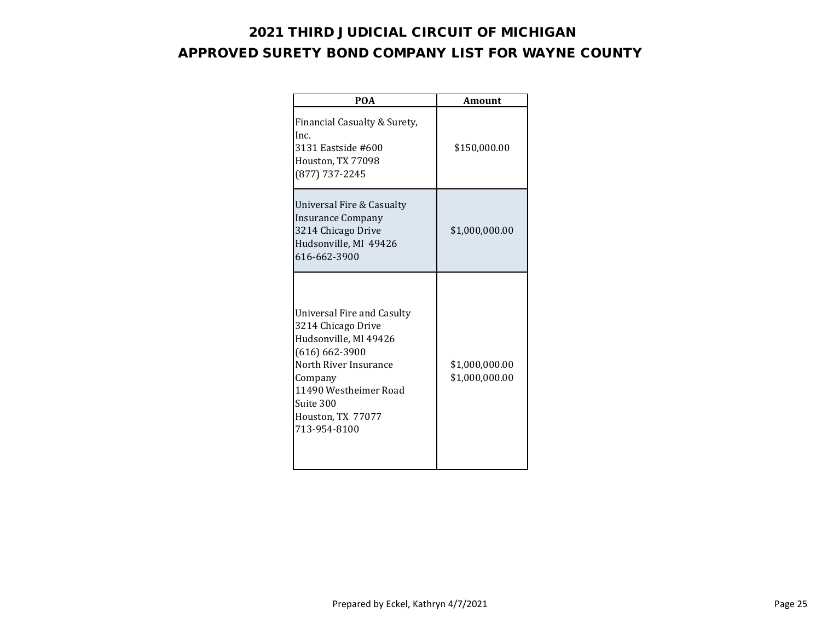| <b>POA</b>                                                                                                                                                                                                     | Amount                           |
|----------------------------------------------------------------------------------------------------------------------------------------------------------------------------------------------------------------|----------------------------------|
| Financial Casualty & Surety,<br>Inc.<br>3131 Eastside #600<br>Houston, TX 77098<br>(877) 737-2245                                                                                                              | \$150,000.00                     |
| Universal Fire & Casualty<br><b>Insurance Company</b><br>3214 Chicago Drive<br>Hudsonville, MI 49426<br>616-662-3900                                                                                           | \$1,000,000.00                   |
| Universal Fire and Casulty<br>3214 Chicago Drive<br>Hudsonville, MI 49426<br>$(616) 662 - 3900$<br>North River Insurance<br>Company<br>11490 Westheimer Road<br>Suite 300<br>Houston, TX 77077<br>713-954-8100 | \$1,000,000.00<br>\$1,000,000.00 |